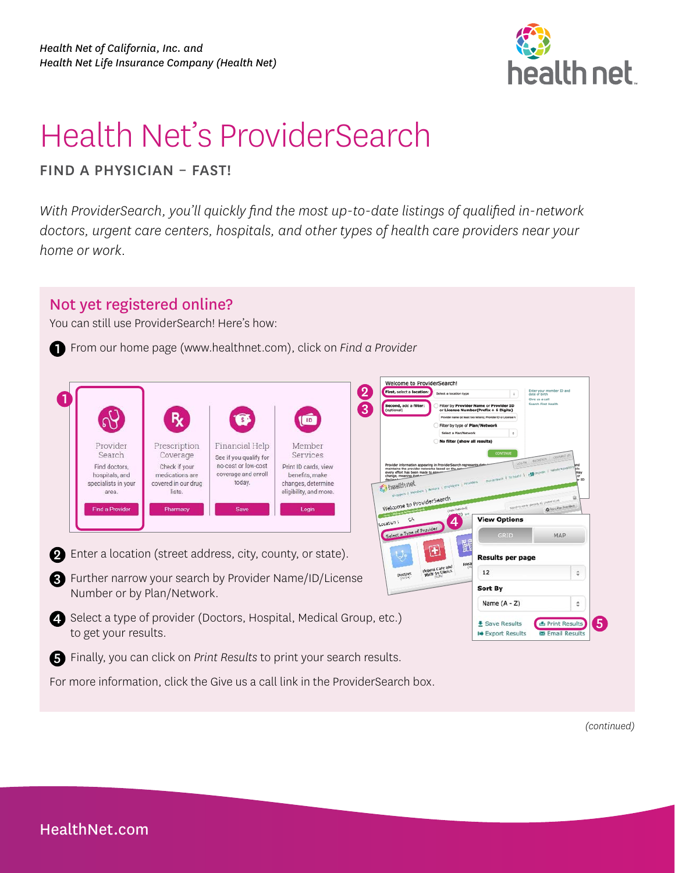

# Health Net's ProviderSearch

FIND A PHYSICIAN – FAST!

*With ProviderSearch, you'll quickly find the most up-to-date listings of qualified in-network doctors, urgent care centers, hospitals, and other types of health care providers near your home or work.* 

### Not yet registered online?

You can still use ProviderSearch! Here's how:

1 From our home page [\(www.healthnet.com\)](http://www.healthnet.com), click on *Find a Provider* 

| Provider<br>Search<br>Find doctors.<br>hospitals, and<br>specialists in your<br>area.<br><b>Find a Provider</b> | <b>R</b><br>Prescription<br>Coverage<br>Check if your<br>medications are<br>covered in our drug<br>lists.<br>Pharmacy | Financial Help<br>See if you qualify for<br>no-cost or low-cost<br>coverage and enroll<br>today.<br>Save | $\boxed{ID}$<br>Member<br>Services<br>Print ID cards, view<br>benefits, make<br>changes, determine<br>eligibility, and more.<br>Login | Welcome to ProviderSearch!<br>$\mathbf{2}$<br>First, select a location<br>Second, add a filter:<br>$\overline{3}$<br>(optional)<br>maintains the provider networks based on the net<br>every effort has been made to en<br>change, meaning that<br>decline.3<br><b>R</b> , health net<br>Welcome to ProviderSearch | Select a location type<br>Filter by Provider Name or Provider ID<br>or License Number(Prefix + 6 Digits)<br>Provider name (at least two letters). Provider ID or License N<br>Filter by type of Plan/Network<br>Select a Plan/Network<br>No filter (show all results)<br>CONTINUE<br>Provider information appearing in ProviderSearch represents di<br>- Americanski Literatur L. A.D.<br>shobbez   Heuperz   Britain   Endplace   Holyter | Enter your member ID and<br>date of birth<br>Give us a call<br>Search First Health<br>L.<br><b>ACCESTER CONTACT</b><br>LOS DE<br>Scored by scarse operating all Lucesos ed plc.<br><b>Q</b> Print Plan Foundates |            |
|-----------------------------------------------------------------------------------------------------------------|-----------------------------------------------------------------------------------------------------------------------|----------------------------------------------------------------------------------------------------------|---------------------------------------------------------------------------------------------------------------------------------------|--------------------------------------------------------------------------------------------------------------------------------------------------------------------------------------------------------------------------------------------------------------------------------------------------------------------|--------------------------------------------------------------------------------------------------------------------------------------------------------------------------------------------------------------------------------------------------------------------------------------------------------------------------------------------------------------------------------------------------------------------------------------------|------------------------------------------------------------------------------------------------------------------------------------------------------------------------------------------------------------------|------------|
| Enter a location (street address, city, county, or state).                                                      |                                                                                                                       |                                                                                                          |                                                                                                                                       | Location:<br>Select a Type of Provider                                                                                                                                                                                                                                                                             | <b>View Options</b><br>4<br><b>GRID</b><br>ETE<br><b>Results per page</b>                                                                                                                                                                                                                                                                                                                                                                  | MAP                                                                                                                                                                                                              |            |
| Further narrow your search by Provider Name/ID/License<br>Number or by Plan/Network.                            |                                                                                                                       |                                                                                                          |                                                                                                                                       | <b>Doctors</b>                                                                                                                                                                                                                                                                                                     | <b>Urgent Care and</b><br>Walk-In Clinics<br>12<br>Sort By<br>Name $(A - Z)$                                                                                                                                                                                                                                                                                                                                                               |                                                                                                                                                                                                                  | ٠          |
| Select a type of provider (Doctors, Hospital, Medical Group, etc.)<br>to get your results.                      |                                                                                                                       |                                                                                                          |                                                                                                                                       |                                                                                                                                                                                                                                                                                                                    | Save Results<br>I Export Results                                                                                                                                                                                                                                                                                                                                                                                                           | <b>A</b> Print Results<br><b>Email Results</b>                                                                                                                                                                   | $\sqrt{5}$ |
| Finally, you can click on Print Results to print your search results.                                           |                                                                                                                       |                                                                                                          |                                                                                                                                       |                                                                                                                                                                                                                                                                                                                    |                                                                                                                                                                                                                                                                                                                                                                                                                                            |                                                                                                                                                                                                                  |            |
|                                                                                                                 |                                                                                                                       |                                                                                                          |                                                                                                                                       | For more information, click the Give us a call link in the ProviderSearch box.                                                                                                                                                                                                                                     |                                                                                                                                                                                                                                                                                                                                                                                                                                            |                                                                                                                                                                                                                  |            |

*(continued)*